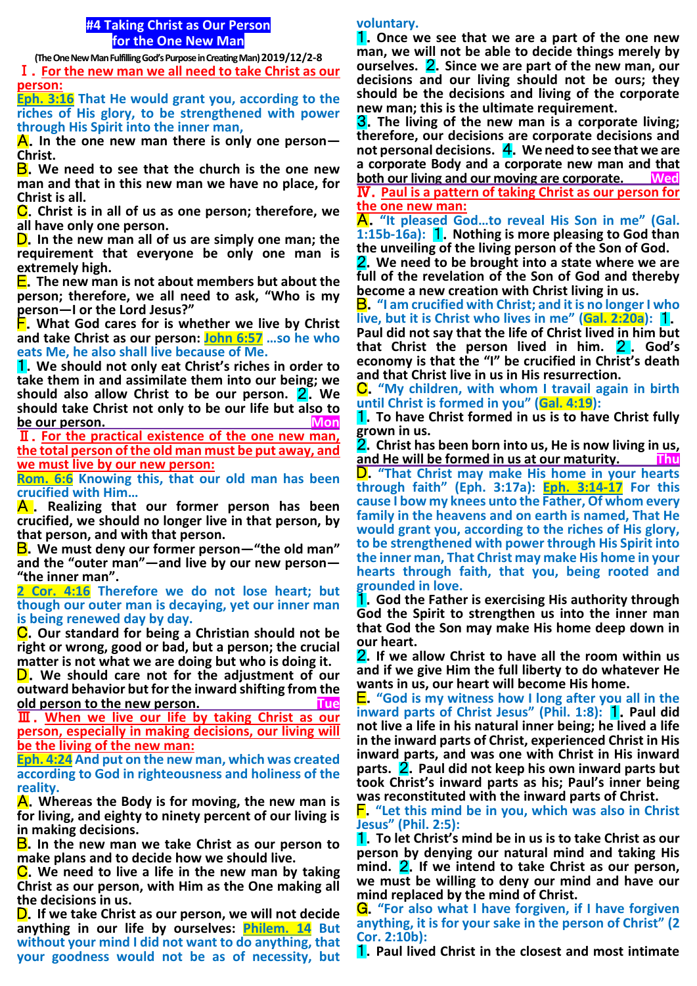# **#4 Taking Christ as Our Person for the One New Man**

**(The One New Man Fulfilling God's Purpose in Creating Man)2019/12/2-8**

Ⅰ.**For the new man we all need to take Christ as our person:**

**Eph. 3:16 That He would grant you, according to the riches of His glory, to be strengthened with power through His Spirit into the inner man,**

A.**In the one new man there is only one person— Christ.**

B.**We need to see that the church is the one new man and that in this new man we have no place, for Christ is all.**

C.**Christ is in all of us as one person; therefore, we all have only one person.**

D.**In the new man all of us are simply one man; the requirement that everyone be only one man is extremely high.**

E.**The new man is not about members but about the person; therefore, we all need to ask, "Who is my person—I or the Lord Jesus?"**

F.**What God cares for is whether we live by Christ and take Christ as our person: John 6:57 …so he who eats Me, he also shall live because of Me.**

1.**We should not only eat Christ's riches in order to take them in and assimilate them into our being; we should also allow Christ to be our person.** 2.**We should take Christ not only to be our life but also to be our person.** Mon

Ⅱ.**For the practical existence of the one new man, the total person of the old man must be put away, and we must live by our new person:**

**Rom. 6:6 Knowing this, that our old man has been crucified with Him…**

A . **Realizing that our former person has been crucified, we should no longer live in that person, by that person, and with that person.**

B.**We must deny our former person—"the old man" and the "outer man"—and live by our new person— "the inner man".** 

**2 Cor. 4:16 Therefore we do not lose heart; but though our outer man is decaying, yet our inner man is being renewed day by day.**

C.**Our standard for being a Christian should not be right or wrong, good or bad, but a person; the crucial matter is not what we are doing but who is doing it.**

D.**We should care not for the adjustment of our outward behavior but for the inward shifting from the old person to the new person. Tue**

Ⅲ.**When we live our life by taking Christ as our person, especially in making decisions, our living will be the living of the new man:**

**Eph. 4:24 And put on the new man, which was created according to God in righteousness and holiness of the reality.**

A.**Whereas the Body is for moving, the new man is for living, and eighty to ninety percent of our living is in making decisions.**

**B.** In the new man we take Christ as our person to **make plans and to decide how we should live.**

C.**We need to live a life in the new man by taking Christ as our person, with Him as the One making all the decisions in us.**

D.**If we take Christ as our person, we will not decide anything in our life by ourselves: Philem. 14 But without your mind I did not want to do anything, that your goodness would not be as of necessity, but** 

### **voluntary.**

1.**Once we see that we are a part of the one new man, we will not be able to decide things merely by ourselves.** 2.**Since we are part of the new man, our decisions and our living should not be ours; they should be the decisions and living of the corporate new man; this is the ultimate requirement.**

3.**The living of the new man is a corporate living; therefore, our decisions are corporate decisions and not personal decisions.** 4.**We need to see that we are a corporate Body and a corporate new man and that both our living and our moving are corporate. Wed**

Ⅳ.**Paul is a pattern of taking Christ as our person for the one new man:**

A.**"It pleased God…to reveal His Son in me" (Gal. 1:15b-16a):** 1.**Nothing is more pleasing to God than the unveiling of the living person of the Son of God.**

2.**We need to be brought into a state where we are full of the revelation of the Son of God and thereby become a new creation with Christ living in us.**

B.**"I am crucified with Christ; and it is no longer I who live, but it is Christ who lives in me" (Gal. 2:20a):** 1. **Paul did not say that the life of Christ lived in him but that Christ the person lived in him.** 2 . **God's economy is that the "I" be crucified in Christ's death and that Christ live in us in His resurrection.**

C.**"My children, with whom I travail again in birth until Christ is formed in you" (Gal. 4:19):**

1.**To have Christ formed in us is to have Christ fully grown in us.**

2.**Christ has been born into us, He is now living in us,**  and He will be formed in us at our maturity.

D.**"That Christ may make His home in your hearts through faith" (Eph. 3:17a): Eph. 3:14-17 For this cause I bow my knees unto the Father, Of whom every family in the heavens and on earth is named, That He would grant you, according to the riches of His glory, to be strengthened with power through His Spirit into the inner man, That Christ may make His home in your hearts through faith, that you, being rooted and grounded in love.**

1.**God the Father is exercising His authority through God the Spirit to strengthen us into the inner man that God the Son may make His home deep down in our heart.**

2.**If we allow Christ to have all the room within us and if we give Him the full liberty to do whatever He wants in us, our heart will become His home.**

E.**"God is my witness how I long after you all in the inward parts of Christ Jesus" (Phil. 1:8):** 1.**Paul did not live a life in his natural inner being; he lived a life in the inward parts of Christ, experienced Christ in His inward parts, and was one with Christ in His inward parts.** 2.**Paul did not keep his own inward parts but took Christ's inward parts as his; Paul's inner being was reconstituted with the inward parts of Christ.**

F.**"Let this mind be in you, which was also in Christ Jesus" (Phil. 2:5):**

1.**To let Christ's mind be in us is to take Christ as our person by denying our natural mind and taking His mind.** 2.**If we intend to take Christ as our person, we must be willing to deny our mind and have our mind replaced by the mind of Christ.**

G.**"For also what I have forgiven, if I have forgiven anything, it is for your sake in the person of Christ" (2 Cor. 2:10b):**

**1.** Paul lived Christ in the closest and most intimate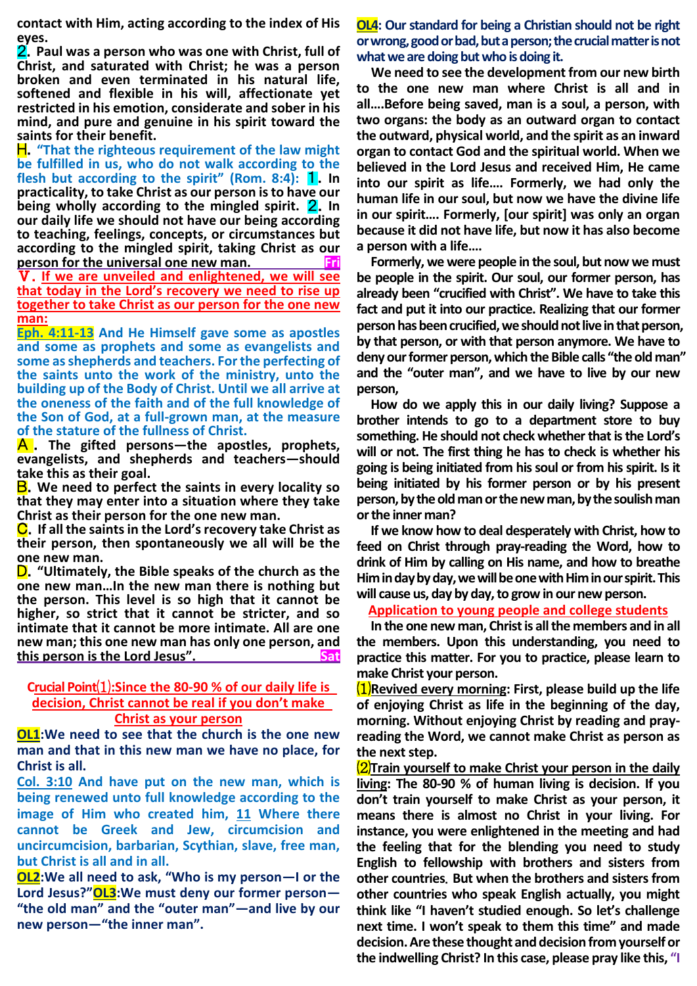**contact with Him, acting according to the index of His eyes.**

2.**Paul was a person who was one with Christ, full of Christ, and saturated with Christ; he was a person broken and even terminated in his natural life, softened and flexible in his will, affectionate yet restricted in his emotion, considerate and sober in his mind, and pure and genuine in his spirit toward the saints for their benefit.**

H.**"That the righteous requirement of the law might be fulfilled in us, who do not walk according to the flesh but according to the spirit" (Rom. 8:4): 1. In practicality, to take Christ as our person is to have our being wholly according to the mingled spirit.** 2.**In our daily life we should not have our being according to teaching, feelings, concepts, or circumstances but according to the mingled spirit, taking Christ as our person for the universal one new man.** Fri

Ⅴ.**If we are unveiled and enlightened, we will see that today in the Lord's recovery we need to rise up together to take Christ as our person for the one new man:**

**Eph. 4:11-13 And He Himself gave some as apostles and some as prophets and some as evangelists and some as shepherds and teachers. For the perfecting of the saints unto the work of the ministry, unto the building up of the Body of Christ. Until we all arrive at the oneness of the faith and of the full knowledge of the Son of God, at a full-grown man, at the measure of the stature of the fullness of Christ.**

A . **The gifted persons—the apostles, prophets, evangelists, and shepherds and teachers—should take this as their goal.**

B.**We need to perfect the saints in every locality so that they may enter into a situation where they take Christ as their person for the one new man.**

C.**If all the saints in the Lord's recovery take Christ as their person, then spontaneously we all will be the one new man.**

D.**"Ultimately, the Bible speaks of the church as the one new man…In the new man there is nothing but the person. This level is so high that it cannot be higher, so strict that it cannot be stricter, and so intimate that it cannot be more intimate. All are one new man; this one new man has only one person, and this person is the Lord Jesus". Sat** 

## **Crucial Point**⑴**:Since the 80-90 % of our daily life is decision, Christ cannot be real if you don't make Christ as your person**

**OL1:We need to see that the church is the one new man and that in this new man we have no place, for Christ is all.**

**Col. 3:10 And have put on the new man, which is being renewed unto full knowledge according to the image of Him who created him, 11 Where there cannot be Greek and Jew, circumcision and uncircumcision, barbarian, Scythian, slave, free man, but Christ is all and in all.** 

**OL2:We all need to ask, "Who is my person—I or the Lord Jesus?"OL3:We must deny our former person— "the old man" and the "outer man"—and live by our new person—"the inner man".**

**OL4: Our standard for being a Christian should not be right or wrong, good or bad, but a person; the crucial matter is not what we are doing but who is doing it.**

**We need to see the development from our new birth to the one new man where Christ is all and in all….Before being saved, man is a soul, a person, with two organs: the body as an outward organ to contact the outward, physical world, and the spirit as an inward organ to contact God and the spiritual world. When we believed in the Lord Jesus and received Him, He came into our spirit as life…. Formerly, we had only the human life in our soul, but now we have the divine life in our spirit…. Formerly, [our spirit] was only an organ because it did not have life, but now it has also become a person with a life….**

**Formerly, we were people in the soul, but now we must be people in the spirit. Our soul, our former person, has already been "crucified with Christ". We have to take this fact and put it into our practice. Realizing that our former person has been crucified, we should not live in that person, by that person, or with that person anymore. We have to deny our former person, which the Bible calls "the old man" and the "outer man", and we have to live by our new person,**

**How do we apply this in our daily living? Suppose a brother intends to go to a department store to buy something. He should not check whether that is the Lord's will or not. The first thing he has to check is whether his going is being initiated from his soul or from his spirit. Is it being initiated by his former person or by his present person, by the old man or the new man, by the soulish man or the inner man?**

**If we know how to deal desperately with Christ, how to feed on Christ through pray-reading the Word, how to drink of Him by calling on His name, and how to breathe Him in day by day, we will be one with Him in our spirit. This will cause us, day by day, to grow in our new person.** 

**Application to young people and college students**

**In the one new man, Christ is all the members and in all the members. Upon this understanding, you need to practice this matter. For you to practice, please learn to make Christ your person.** 

⑴**Revived every morning: First, please build up the life of enjoying Christ as life in the beginning of the day, morning. Without enjoying Christ by reading and prayreading the Word, we cannot make Christ as person as the next step.**

⑵**Train yourself to make Christ your person in the daily living: The 80-90 % of human living is decision. If you don't train yourself to make Christ as your person, it means there is almost no Christ in your living. For instance, you were enlightened in the meeting and had the feeling that for the blending you need to study English to fellowship with brothers and sisters from other countries**. **But when the brothers and sisters from other countries who speak English actually, you might think like "I haven't studied enough. So let's challenge next time. I won't speak to them this time" and made decision. Are these thought and decision from yourself or the indwelling Christ? In this case, please pray like this, "I**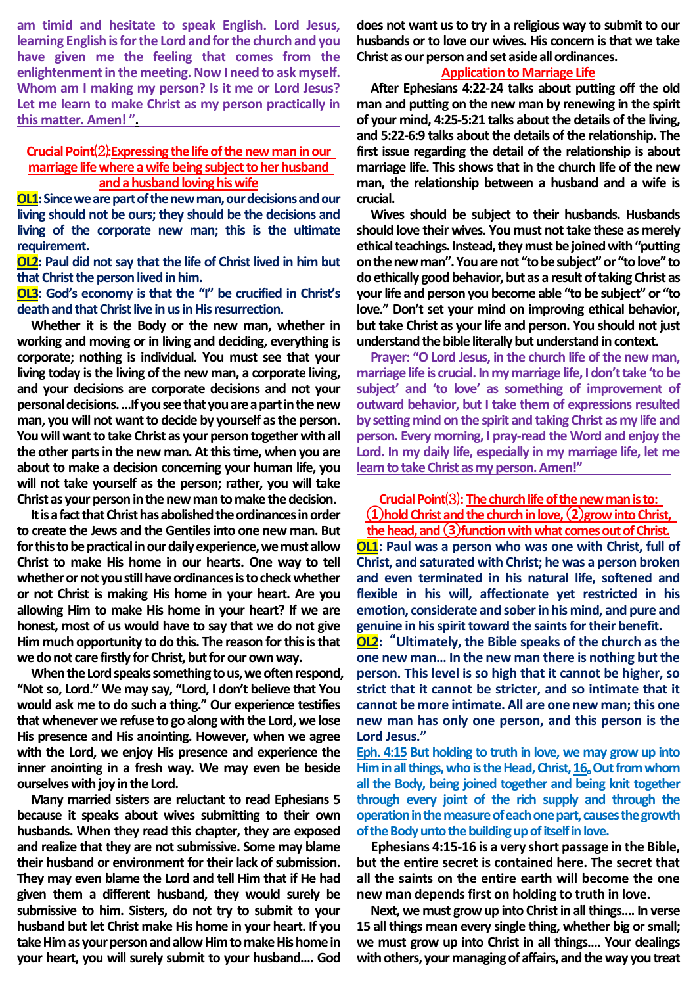**am timid and hesitate to speak English. Lord Jesus, learning English is for the Lord and for the church and you have given me the feeling that comes from the enlightenment in the meeting. Now I need to ask myself. Whom am I making my person? Is it me or Lord Jesus? Let me learn to make Christ as my person practically in this matter. Amen! ".**

## **Crucial Point**⑵**:Expressing the life ofthe new man in our marriage life where a wife being subject to her husband**  and a husband loving his wife

**OL1:Since we are part of the new man, our decisions and our living should not be ours; they should be the decisions and living of the corporate new man; this is the ultimate requirement.**

**OL2: Paul did not say that the life of Christ lived in him but that Christ the person lived in him.** 

**OL3: God's economy is that the "I" be crucified in Christ's death and that Christ live in us in His resurrection.**

**Whether it is the Body or the new man, whether in working and moving or in living and deciding, everything is corporate; nothing is individual. You must see that your living today is the living of the new man, a corporate living, and your decisions are corporate decisions and not your personal decisions. …If you see that you are a part in the new man, you will not want to decide by yourself as the person. You will want to take Christ as your person together with all the other parts in the new man. At this time, when you are about to make a decision concerning your human life, you will not take yourself as the person; rather, you will take Christ as your person in the new man to make the decision.**

**It is a fact that Christ has abolished the ordinances in order to create the Jews and the Gentiles into one new man. But for this to be practical in our daily experience, we must allow Christ to make His home in our hearts. One way to tell whether or not you still have ordinances is to check whether or not Christ is making His home in your heart. Are you allowing Him to make His home in your heart? If we are honest, most of us would have to say that we do not give Him much opportunity to do this. The reason for this is that we do not care firstly for Christ, but for our own way.**

**When the Lord speaks something to us, we often respond, "Not so, Lord." We may say, "Lord, I don't believe that You would ask me to do such a thing." Our experience testifies that whenever we refuse to go along with the Lord, we lose His presence and His anointing. However, when we agree with the Lord, we enjoy His presence and experience the inner anointing in a fresh way. We may even be beside ourselves with joy in the Lord.**

**Many married sisters are reluctant to read Ephesians 5 because it speaks about wives submitting to their own husbands. When they read this chapter, they are exposed and realize that they are not submissive. Some may blame their husband or environment for their lack of submission. They may even blame the Lord and tell Him that if He had given them a different husband, they would surely be submissive to him. Sisters, do not try to submit to your husband but let Christ make His home in your heart. If you take Him as your person and allow Him to make His home in your heart, you will surely submit to your husband…. God** 

**does not want us to try in a religious way to submit to our husbands or to love our wives. His concern is that we take Christ as our person and set aside all ordinances.**

## **Application to Marriage Life**

**After Ephesians 4:22-24 talks about putting off the old man and putting on the new man by renewing in the spirit of your mind, 4:25-5:21 talks about the details of the living, and 5:22-6:9 talks about the details of the relationship. The first issue regarding the detail of the relationship is about marriage life. This shows that in the church life of the new man, the relationship between a husband and a wife is crucial.**

**Wives should be subject to their husbands. Husbands should love their wives. You must not take these as merely ethical teachings. Instead, they must be joined with "putting on the new man". You are not "to be subject" or "to love" to do ethically good behavior, but as a result of taking Christ as your life and person you become able "to be subject" or "to love." Don't set your mind on improving ethical behavior, but take Christ as your life and person. You should not just understand the bible literally but understand in context.**

**Prayer: "O Lord Jesus, in the church life of the new man, marriage life is crucial. In my marriage life, I don't take 'to be subject' and 'to love' as something of improvement of outward behavior, but I take them of expressions resulted by setting mind on the spirit and taking Christ as my life and person. Every morning, I pray-read the Word and enjoy the Lord. In my daily life, especially in my marriage life, let me learn to take Christ as my person. Amen!"** 

**Crucial Point**⑶**: The church life of the new man is to: ①hold Christ and the church in love, ②grow into Christ,** 

**the head, and ③function with what comes out of Christ. OL1: Paul was a person who was one with Christ, full of Christ, and saturated with Christ; he was a person broken and even terminated in his natural life, softened and flexible in his will, affectionate yet restricted in his emotion, considerate and sober in his mind, and pure and genuine in his spirit toward the saints for their benefit.**

**OL2:** "**Ultimately, the Bible speaks of the church as the one new man… In the new man there is nothing but the person. This level is so high that it cannot be higher, so strict that it cannot be stricter, and so intimate that it cannot be more intimate. All are one new man; this one new man has only one person, and this person is the Lord Jesus."**

**Eph. 4:15 But holding to truth in love, we may grow up into Him in all things, who is the Head, Christ, 16**。**Out from whom all the Body, being joined together and being knit together through every joint of the rich supply and through the operation in the measure of each one part, causes the growth of the Body unto the building up of itself in love.**

**Ephesians 4:15-16 is a very short passage in the Bible, but the entire secret is contained here. The secret that all the saints on the entire earth will become the one new man depends first on holding to truth in love.**

**Next, we must grow up into Christ in all things…. In verse 15 all things mean every single thing, whether big or small; we must grow up into Christ in all things…. Your dealings with others, your managing of affairs, and the way you treat**